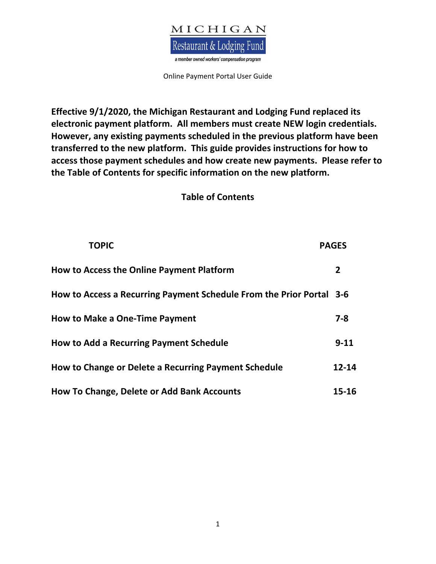

**Effective 9/1/2020, the Michigan Restaurant and Lodging Fund replaced its electronic payment platform. All members must create NEW login credentials. However, any existing payments scheduled in the previous platform have been transferred to the new platform. This guide provides instructions for how to access those payment schedules and how create new payments. Please refer to the Table of Contents for specific information on the new platform.** 

## **Table of Contents**

| <b>TOPIC</b>                                                         | <b>PAGES</b>   |
|----------------------------------------------------------------------|----------------|
| <b>How to Access the Online Payment Platform</b>                     | $\overline{2}$ |
| How to Access a Recurring Payment Schedule From the Prior Portal 3-6 |                |
| <b>How to Make a One-Time Payment</b>                                | $7 - 8$        |
| <b>How to Add a Recurring Payment Schedule</b>                       | $9 - 11$       |
| How to Change or Delete a Recurring Payment Schedule                 | $12 - 14$      |
| How To Change, Delete or Add Bank Accounts                           | $15 - 16$      |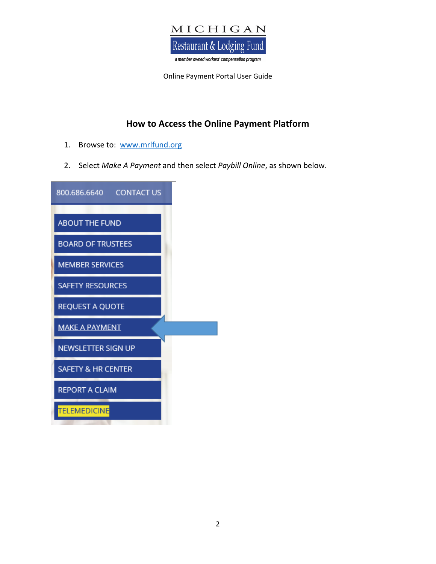

# **How to Access the Online Payment Platform**

- 1. Browse to: www.mrlfund.org
- 2. Select *Make A Payment* and then select *Paybill Online*, as shown below.

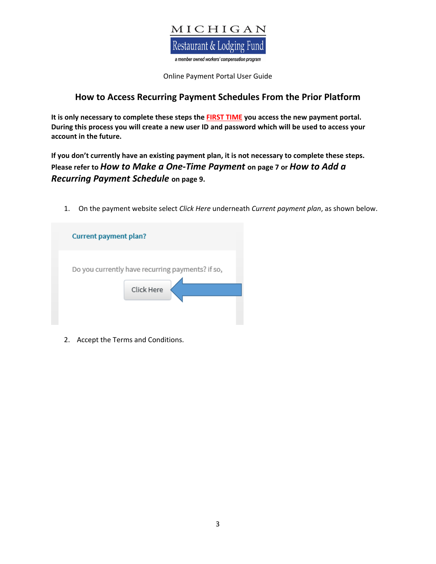

## **How to Access Recurring Payment Schedules From the Prior Platform**

**It is only necessary to complete these steps the FIRST TIME you access the new payment portal. During this process you will create a new user ID and password which will be used to access your account in the future.** 

**If you don't currently have an existing payment plan, it is not necessary to complete these steps. Please refer to** *How to Make a One-Time Payment* **on page 7 or** *How to Add a Recurring Payment Schedule* **on page 9.**

1. On the payment website select *Click Here* underneath *Current payment plan*, as shown below.

| <b>Current payment plan?</b> |                                                  |
|------------------------------|--------------------------------------------------|
|                              | Do you currently have recurring payments? if so, |
|                              | Click Here                                       |
|                              |                                                  |

2. Accept the Terms and Conditions.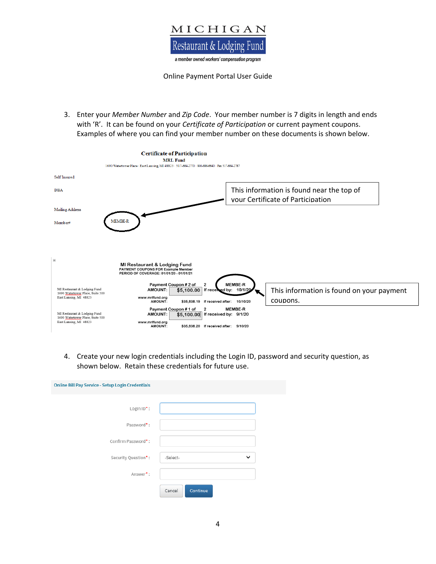

3. Enter your *Member Number* and *Zip Code*. Your member number is 7 digits in length and ends with 'R'. It can be found on your *Certificate of Participation* or current payment coupons. Examples of where you can find your member number on these documents is shown below.



4. Create your new login credentials including the Login ID, password and security question, as shown below. Retain these credentials for future use.

| <b>Online Bill Pay Service - Setup Login Credentials</b> |                          |
|----------------------------------------------------------|--------------------------|
| Login $ID^*$ :                                           |                          |
| Password*:                                               |                          |
| Confirm Password*:                                       |                          |
| Security Question*:                                      | $\checkmark$<br>-Select- |
| Answer*:                                                 |                          |
|                                                          | Continue<br>Cancel       |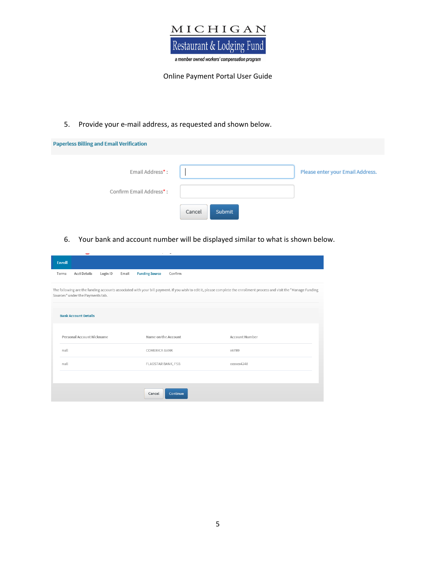

5. Provide your e-mail address, as requested and shown below.

| <b>Paperless Billing and Email Verification</b> |                  |                                  |
|-------------------------------------------------|------------------|----------------------------------|
| Email Address*:                                 |                  | Please enter your Email Address. |
| Confirm Email Address*:                         |                  |                                  |
|                                                 | Submit<br>Cancel |                                  |

6. Your bank and account number will be displayed similar to what is shown below.

|        | ــ                               |          |       | $\sim$                | $\overline{\phantom{a}}$ |                                                                                                                                                                        |  |
|--------|----------------------------------|----------|-------|-----------------------|--------------------------|------------------------------------------------------------------------------------------------------------------------------------------------------------------------|--|
| Enroll |                                  |          |       |                       |                          |                                                                                                                                                                        |  |
| Terms  | <b>Acct Details</b>              | Login ID | Email | <b>Funding Source</b> | Confirm                  |                                                                                                                                                                        |  |
|        | Sources" under the Payments tab. |          |       |                       |                          | The following are the funding accounts associated with your bill payment. If you wish to edit it, please complete the enrollment process and visit the "Manage Funding |  |
|        | <b>Bank Account Details</b>      |          |       |                       |                          |                                                                                                                                                                        |  |
|        | Personal Account Nickname        |          |       | Name on the Account   |                          | <b>Account Number</b>                                                                                                                                                  |  |
| null   |                                  |          |       | COMERICA BANK         |                          | x6789                                                                                                                                                                  |  |
| null   |                                  |          |       | FLAGSTAR BANK, FSB    |                          | xxxxx4248                                                                                                                                                              |  |
|        |                                  |          |       |                       |                          |                                                                                                                                                                        |  |
|        |                                  |          |       | Cancel                | Continue                 |                                                                                                                                                                        |  |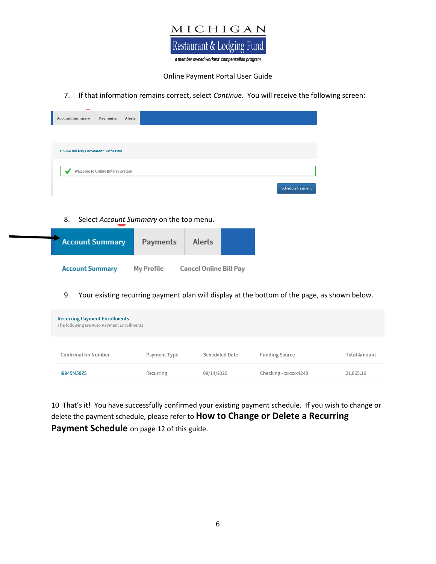

7. If that information remains correct, select *Continue*. You will receive the following screen:

| <b>Account Summary</b>                       | Payments                          | Alerts |                                         |                  |
|----------------------------------------------|-----------------------------------|--------|-----------------------------------------|------------------|
|                                              |                                   |        |                                         |                  |
| <b>Online Bill Pay Enrollment Successful</b> |                                   |        |                                         |                  |
|                                              | Welcome to Online Bill Pay system |        |                                         |                  |
|                                              |                                   |        |                                         | Schedule Payment |
|                                              |                                   |        |                                         |                  |
| 8.                                           |                                   |        | Select Account Summary on the top menu. |                  |

| <b>Account Summary</b> | Payments   | Alerts                 |  |
|------------------------|------------|------------------------|--|
| <b>Account Summary</b> | My Profile | Cancel Online Bill Pay |  |

9. Your existing recurring payment plan will display at the bottom of the page, as shown below.

| <b>Recurring Payment Enrollments</b><br>The following are Auto Payment Enrollments |              |                       |                       |                     |
|------------------------------------------------------------------------------------|--------------|-----------------------|-----------------------|---------------------|
| <b>Confirmation Number</b>                                                         | Payment Type | <b>Scheduled Date</b> | <b>Funding Source</b> | <b>Total Amount</b> |
| 19945M58ZS                                                                         | Recurring    | 09/14/2020            | Checking - xxxxxx4248 | 21,865.16           |

10 That's it! You have successfully confirmed your existing payment schedule. If you wish to change or delete the payment schedule, please refer to **How to Change or Delete a Recurring Payment Schedule** on page 12 of this guide.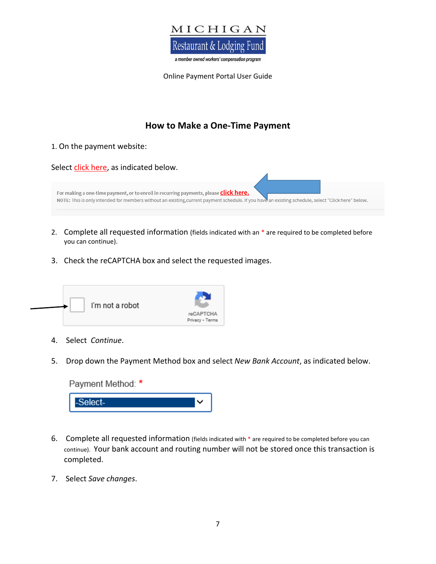

# **How to Make a One-Time Payment**

#### 1. On the payment website:

| Select click here, as indicated below.                                                                                                                                                                                                              |  |
|-----------------------------------------------------------------------------------------------------------------------------------------------------------------------------------------------------------------------------------------------------|--|
|                                                                                                                                                                                                                                                     |  |
| For making a one-time payment, or to enroll in recurring payments, please <b>click here.</b><br>NOTE: This is only intended for members without an existing, current payment schedule. If you have an existing schedule, select "Click here" below. |  |
|                                                                                                                                                                                                                                                     |  |

- 2. Complete all requested information (fields indicated with an \* are required to be completed before you can continue).
- 3. Check the reCAPTCHA box and select the requested images.



- 4. Select *Continue*.
- 5. Drop down the Payment Method box and select *New Bank Account*, as indicated below.

| Payment Method: * |  |
|-------------------|--|
| -Select-          |  |

- 6. Complete all requested information (fields indicated with \* are required to be completed before you can continue). Your bank account and routing number will not be stored once this transaction is completed.
- 7. Select *Save changes*.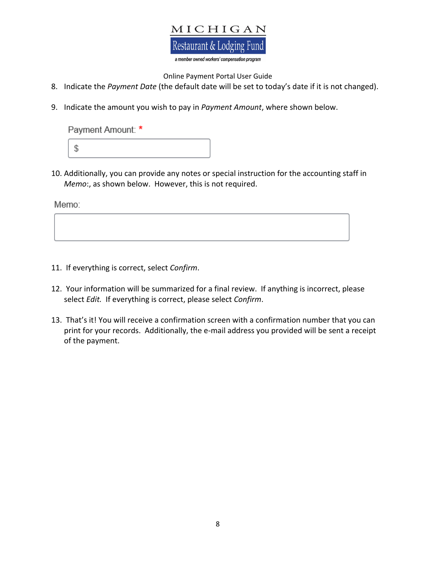# MICHIGAN Restaurant & Lodging Fund

a member owned workers' compensation program

#### Online Payment Portal User Guide

- 8. Indicate the *Payment Date* (the default date will be set to today's date if it is not changed).
- 9. Indicate the amount you wish to pay in *Payment Amount*, where shown below.

Payment Amount: \*



10. Additionally, you can provide any notes or special instruction for the accounting staff in *Memo*:, as shown below. However, this is not required.

Memo:

- 11. If everything is correct, select *Confirm*.
- 12. Your information will be summarized for a final review. If anything is incorrect, please select *Edit.* If everything is correct, please select *Confirm*.
- 13. That's it! You will receive a confirmation screen with a confirmation number that you can print for your records. Additionally, the e-mail address you provided will be sent a receipt of the payment.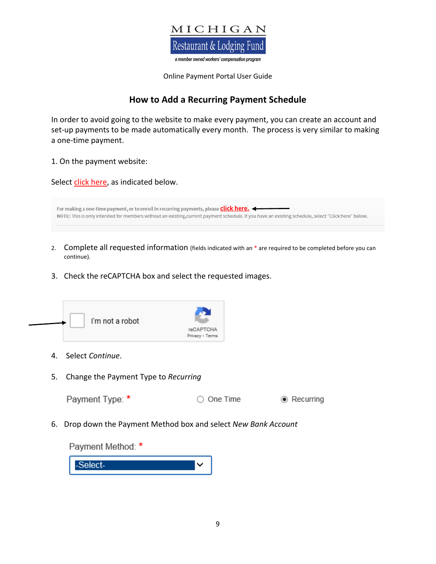

# **How to Add a Recurring Payment Schedule**

In order to avoid going to the website to make every payment, you can create an account and set-up payments to be made automatically every month. The process is very similar to making a one-time payment.

1. On the payment website:

Select click here, as indicated below.

| For making a one-time payment, or to enroll in recurring payments, please <b>click here.</b>                                                        |
|-----------------------------------------------------------------------------------------------------------------------------------------------------|
| NOTE: This is only intended for members without an existing, current payment schedule. If you have an existing schedule, select "Click here" below. |

- 2. Complete all requested information (fields indicated with an \* are required to be completed before you can continue).
- 3. Check the reCAPTCHA box and select the requested images.



- 4. Select *Continue*.
- 5. Change the Payment Type to *Recurring*

◉ Recurring

6. Drop down the Payment Method box and select *New Bank Account*

Payment Method: \*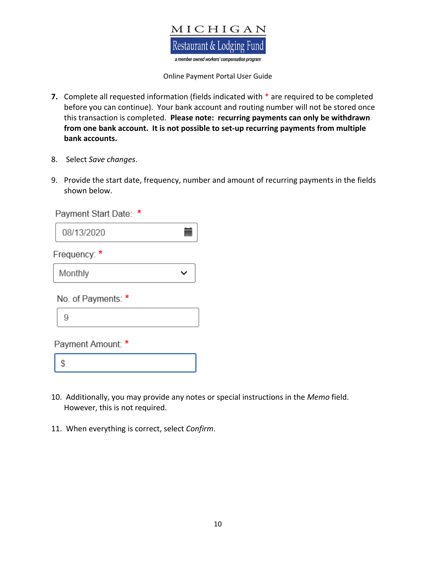

- **7.** Complete all requested information (fields indicated with \* are required to be completed before you can continue). Your bank account and routing number will not be stored once this transaction is completed. **Please note: recurring payments can only be withdrawn from one bank account. It is not possible to set-up recurring payments from multiple bank accounts.**
- 8. Select *Save changes*.
- 9. Provide the start date, frequency, number and amount of recurring payments in the fields shown below.

| *<br>Payment Start Date: |  |
|--------------------------|--|
| 08/13/2020               |  |
| Frequency: *             |  |
| Monthly                  |  |
| No. of Payments: *       |  |
| 9                        |  |
| Payment Amount: *        |  |

- \$
- 10. Additionally, you may provide any notes or special instructions in the *Memo* field. However, this is not required.
- 11. When everything is correct, select *Confirm*.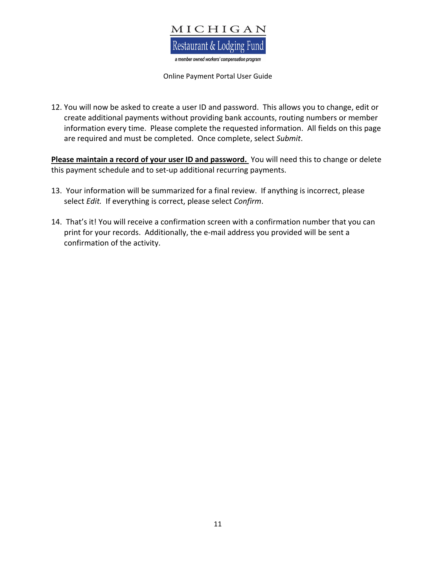

12. You will now be asked to create a user ID and password. This allows you to change, edit or create additional payments without providing bank accounts, routing numbers or member information every time. Please complete the requested information. All fields on this page are required and must be completed. Once complete, select *Submit*.

**Please maintain a record of your user ID and password.** You will need this to change or delete this payment schedule and to set-up additional recurring payments.

- 13. Your information will be summarized for a final review. If anything is incorrect, please select *Edit.* If everything is correct, please select *Confirm*.
- 14. That's it! You will receive a confirmation screen with a confirmation number that you can print for your records. Additionally, the e-mail address you provided will be sent a confirmation of the activity.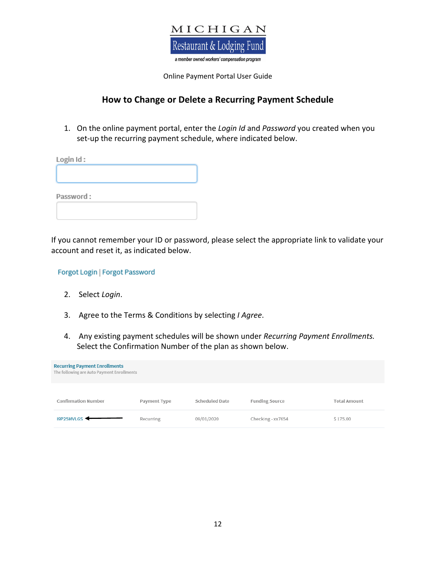

### **How to Change or Delete a Recurring Payment Schedule**

1. On the online payment portal, enter the *Login Id* and *Password* you created when you set-up the recurring payment schedule, where indicated below.

| Login Id: |  |  |
|-----------|--|--|
|           |  |  |
|           |  |  |
| Password: |  |  |
|           |  |  |
|           |  |  |

If you cannot remember your ID or password, please select the appropriate link to validate your account and reset it, as indicated below.

Forgot Login | Forgot Password

- 2. Select *Login*.
- 3. Agree to the Terms & Conditions by selecting *I Agree*.
- 4. Any existing payment schedules will be shown under *Recurring Payment Enrollments.* Select the Confirmation Number of the plan as shown below.

| <b>Recurring Payment Enrollments</b><br>The following are Auto Payment Enrollments |              |                       |                       |                     |
|------------------------------------------------------------------------------------|--------------|-----------------------|-----------------------|---------------------|
| <b>Confirmation Number</b>                                                         | Payment Type | <b>Scheduled Date</b> | <b>Funding Source</b> | <b>Total Amount</b> |
| I9P25MVLGS                                                                         | Recurring    | 09/01/2020            | Checking - xx7654     | \$175.00            |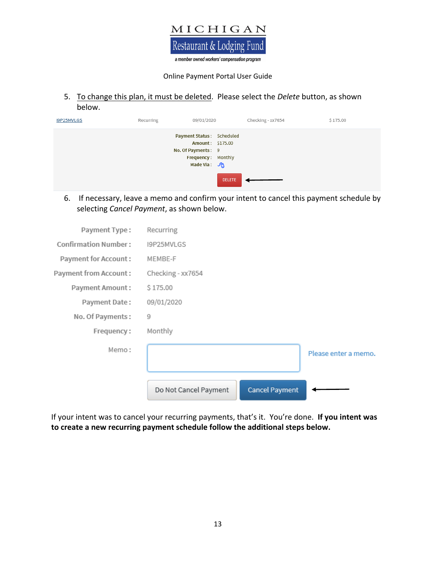

5. To change this plan, it must be deleted. Please select the *Delete* button, as shown below.

| I9P25MVLGS | Recurring | 09/01/2020                                                                                                        |               | Checking - xx7654 | \$175.00 |
|------------|-----------|-------------------------------------------------------------------------------------------------------------------|---------------|-------------------|----------|
|            |           | Payment Status: Scheduled<br>Amount: \$175.00<br>No. Of Payments: 9<br>Frequency: Monthly<br>Made Via: $\sqrt{2}$ |               |                   |          |
|            |           |                                                                                                                   | <b>DELETE</b> |                   |          |

6. If necessary, leave a memo and confirm your intent to cancel this payment schedule by selecting *Cancel Payment*, as shown below.

| Payment Type:               | Recurring                                      |                      |
|-----------------------------|------------------------------------------------|----------------------|
| <b>Confirmation Number:</b> | I9P25MVLGS                                     |                      |
| Payment for Account:        | MEMBE-F                                        |                      |
| Payment from Account:       | Checking - xx7654                              |                      |
| Payment Amount:             | S 175.00                                       |                      |
| Payment Date:               | 09/01/2020                                     |                      |
| No. Of Payments:            | 9                                              |                      |
| Frequency:                  | Monthly                                        |                      |
| Memo:                       |                                                | Please enter a memo. |
|                             | Do Not Cancel Payment<br><b>Cancel Payment</b> |                      |

If your intent was to cancel your recurring payments, that's it. You're done. **If you intent was to create a new recurring payment schedule follow the additional steps below.**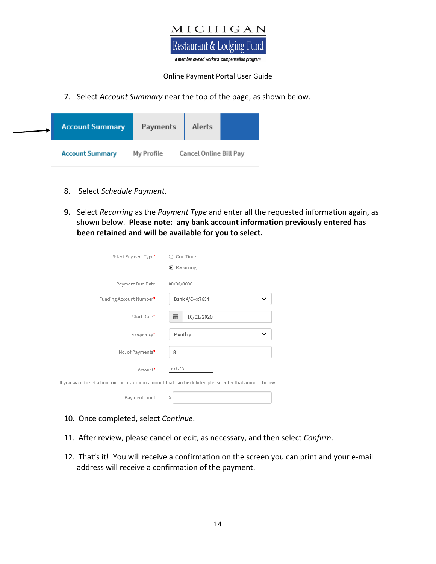

7. Select *Account Summary* near the top of the page, as shown below.

| <b>Account Summary</b> | Payments   | Alerts                 |  |
|------------------------|------------|------------------------|--|
| <b>Account Summary</b> | My Profile | Cancel Online Bill Pay |  |

- 8. Select *Schedule Payment*.
- **9.** Select *Recurring* as the *Payment Type* and enter all the requested information again, as shown below. **Please note: any bank account information previously entered has been retained and will be available for you to select.**

| Select Payment Type*:    | One Time                                                                                             |
|--------------------------|------------------------------------------------------------------------------------------------------|
|                          | ● Recurring                                                                                          |
| Payment Due Date:        | 00/00/0000                                                                                           |
| Funding Account Number*: | Bank A/C-xx7654<br>◡                                                                                 |
| Start Date*:             | 藟<br>10/01/2020                                                                                      |
| Frequency*:              | Monthly<br>◡                                                                                         |
| No. of Payments*:        | 8                                                                                                    |
| Amount*:                 | 567.75                                                                                               |
|                          | If you want to set a limit on the maximum amount that can be debited please enter that amount below. |
| Payment Limit:           | S                                                                                                    |

- 10. Once completed, select *Continue*.
- 11. After review, please cancel or edit, as necessary, and then select *Confirm*.
- 12. That's it! You will receive a confirmation on the screen you can print and your e-mail address will receive a confirmation of the payment.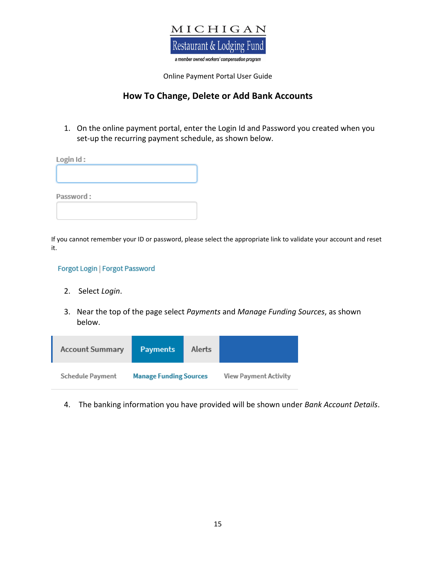

## **How To Change, Delete or Add Bank Accounts**

1. On the online payment portal, enter the Login Id and Password you created when you set-up the recurring payment schedule, as shown below.

| Login Id: |  |  |
|-----------|--|--|
|           |  |  |
|           |  |  |
| Password: |  |  |
|           |  |  |
|           |  |  |

If you cannot remember your ID or password, please select the appropriate link to validate your account and reset it.

#### Forgot Login | Forgot Password

- 2. Select *Login*.
- 3. Near the top of the page select *Payments* and *Manage Funding Sources*, as shown below.

| <b>Account Summary</b> | <b>Payments</b>               | Alerts |                       |
|------------------------|-------------------------------|--------|-----------------------|
| Schedule Payment       | <b>Manage Funding Sources</b> |        | View Payment Activity |

4. The banking information you have provided will be shown under *Bank Account Details*.